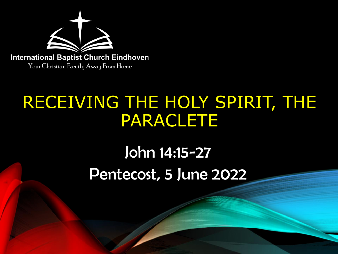

## RECEIVING THE HOLY SPIRIT, THE PARACLETE

# John 14:15-27 Pentecost, 5 June 2022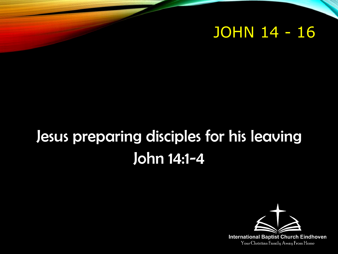#### JOHN 14 - 16

## Jesus preparing disciples for his leaving John 14:1-4

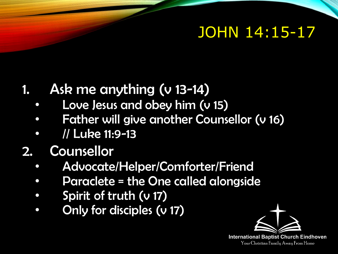### JOHN 14:15-17

#### Ask me anything (v 13-14)

- Love Jesus and obey him (v 15)
- Father will give another Counsellor (v 16)
- // Luke 11:9-13
- 2. Counsellor
	- Advocate/Helper/Comforter/Friend
	- Paraclete = the One called alongside
	- Spirit of truth (v 17)
	- Only for disciples (v 17)

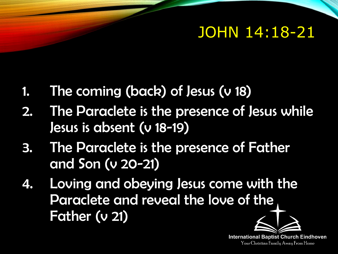### JOHN 14:18-21

- 1. The coming (back) of Jesus (v 18)
- 2. The Paraclete is the presence of Jesus while Jesus is absent (v 18-19)
- 3. The Paraclete is the presence of Father and Son (v 20-21)
- 4. Loving and obeying Jesus come with the Paraclete and reveal the love of the Father (v 21)

**International Baptist Church Eindhoven** Your Christian Family Away From Home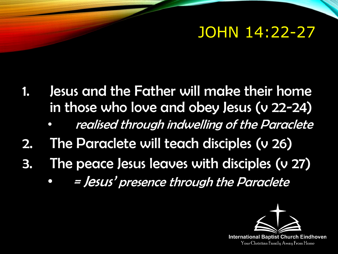#### JOHN 14:22-27

- 1. Jesus and the Father will make their home in those who love and obey Jesus (v 22-24)
	- realised through indwelling of the Paraclete
- 2. The Paraclete will teach disciples (v 26)
- 3. The peace Jesus leaves with disciples (v 27)
	- = Jesus' presence through the Paraclete